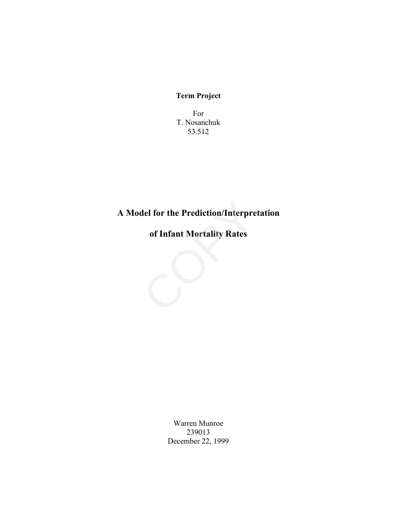# **Term Project**

For T. Nosanchuk 53.512

# **A Model for the Prediction/Interpretation** del for the Prediction/Interpre<br>of Infant Mortality Rates

**of Infant Mortality Rates**

Warren Munroe 239013 December 22, 1999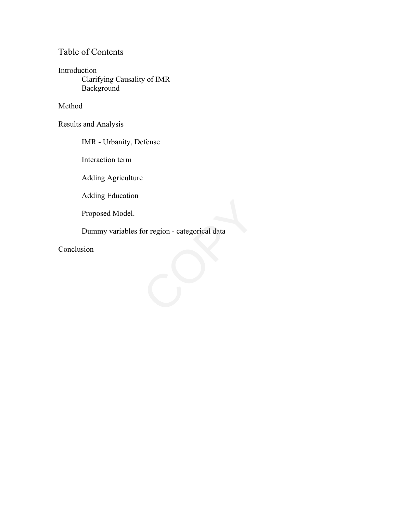# Table of Contents

Introduction Clarifying Causality of IMR Background

Method

Results and Analysis

IMR - Urbanity, Defense

Interaction term

Adding Agriculture

Adding Education

Proposed Model.

Dummy variables for region - categorical data Proposed Model.<br>
Dummy variables for region - categorical data<br>
Conclusion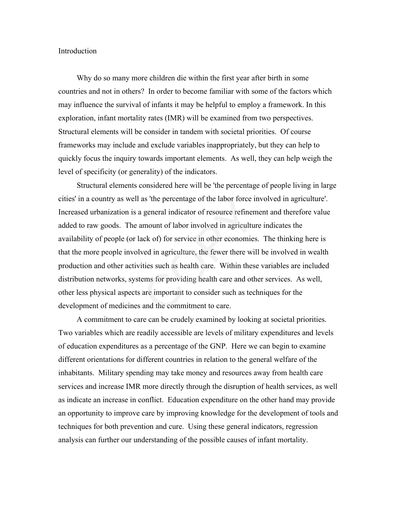#### Introduction

Why do so many more children die within the first year after birth in some countries and not in others? In order to become familiar with some of the factors which may influence the survival of infants it may be helpful to employ a framework. In this exploration, infant mortality rates (IMR) will be examined from two perspectives. Structural elements will be consider in tandem with societal priorities. Of course frameworks may include and exclude variables inappropriately, but they can help to quickly focus the inquiry towards important elements. As well, they can help weigh the level of specificity (or generality) of the indicators.

Structural elements considered here will be 'the percentage of people living in large cities' in a country as well as 'the percentage of the labor force involved in agriculture'. Increased urbanization is a general indicator of resource refinement and therefore value added to raw goods. The amount of labor involved in agriculture indicates the availability of people (or lack of) for service in other economies. The thinking here is that the more people involved in agriculture, the fewer there will be involved in wealth production and other activities such as health care. Within these variables are included distribution networks, systems for providing health care and other services. As well, other less physical aspects are important to consider such as techniques for the development of medicines and the commitment to care. as the percentage of the labor force in<br>a general indicator of resource refinem<br>amount of labor involved in agriculturack of) for service in other economies<br>ved in agriculture, the fewer there wil<br>ities such as health care

A commitment to care can be crudely examined by looking at societal priorities. Two variables which are readily accessible are levels of military expenditures and levels of education expenditures as a percentage of the GNP. Here we can begin to examine different orientations for different countries in relation to the general welfare of the inhabitants. Military spending may take money and resources away from health care services and increase IMR more directly through the disruption of health services, as well as indicate an increase in conflict. Education expenditure on the other hand may provide an opportunity to improve care by improving knowledge for the development of tools and techniques for both prevention and cure. Using these general indicators, regression analysis can further our understanding of the possible causes of infant mortality.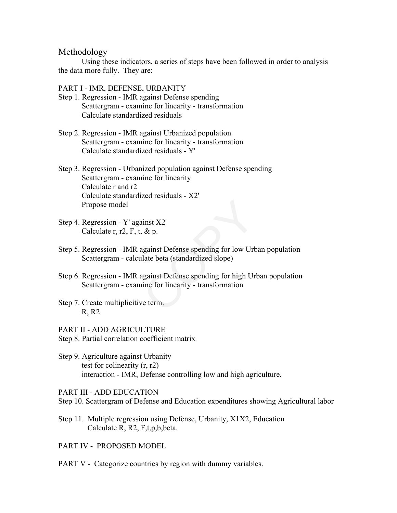# Methodology

Using these indicators, a series of steps have been followed in order to analysis the data more fully. They are:

#### PART I - IMR, DEFENSE, URBANITY

- Step 1. Regression IMR against Defense spending Scattergram - examine for linearity - transformation Calculate standardized residuals
- Step 2. Regression IMR against Urbanized population Scattergram - examine for linearity - transformation Calculate standardized residuals - Y'
- Step 3. Regression Urbanized population against Defense spending Scattergram - examine for linearity Calculate r and r2 Calculate standardized residuals - X2' Propose model
- Step 4. Regression Y' against X2' Calculate r, r2, F, t,  $\&$  p.
- Step 5. Regression IMR against Defense spending for low Urban population Scattergram - calculate beta (standardized slope)
- Step 6. Regression IMR against Defense spending for high Urban population Scattergram - examine for linearity - transformation Example 12<br>
ainst X2'<br>
8. & p.<br>
against Defense spending for low Urb<br>
alate beta (standardized slope)<br>
against Defense spending for high Urb<br>
inne for linearity - transformation<br>
we term.
- Step 7. Create multiplicitive term. R, R2
- PART II ADD AGRICULTURE
- Step 8. Partial correlation coefficient matrix
- Step 9. Agriculture against Urbanity test for colinearity (r, r2) interaction - IMR, Defense controlling low and high agriculture.

PART III - ADD EDUCATION

- Step 10. Scattergram of Defense and Education expenditures showing Agricultural labor
- Step 11. Multiple regression using Defense, Urbanity, X1X2, Education Calculate R, R2, F,t,p,b,beta.
- PART IV PROPOSED MODEL
- PART V Categorize countries by region with dummy variables.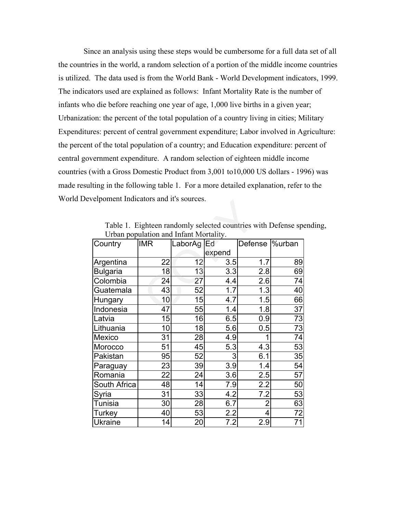Since an analysis using these steps would be cumbersome for a full data set of all the countries in the world, a random selection of a portion of the middle income countries is utilized. The data used is from the World Bank - World Development indicators, 1999. The indicators used are explained as follows: Infant Mortality Rate is the number of infants who die before reaching one year of age, 1,000 live births in a given year; Urbanization: the percent of the total population of a country living in cities; Military Expenditures: percent of central government expenditure; Labor involved in Agriculture: the percent of the total population of a country; and Education expenditure: percent of central government expenditure. A random selection of eighteen middle income countries (with a Gross Domestic Product from 3,001 to10,000 US dollars - 1996) was made resulting in the following table 1. For a more detailed explanation, refer to the World Develpoment Indicators and it's sources.

| Table 1. Eighteen randomly selected countries with Defense spending, |
|----------------------------------------------------------------------|
| Urban population and Infant Mortality.                               |

| elpoment indicators and it's sources. |                                                                  |         |        |                 |    |  |  |  |
|---------------------------------------|------------------------------------------------------------------|---------|--------|-----------------|----|--|--|--|
|                                       | Table 1. Eighteen randomly selected countries with Defense spone |         |        |                 |    |  |  |  |
|                                       | Urban population and Infant Mortality.                           |         |        |                 |    |  |  |  |
| Country                               | <b>IMR</b>                                                       | LaborAg | Ed     | Defense  %urban |    |  |  |  |
|                                       |                                                                  |         | expend |                 |    |  |  |  |
| Argentina                             | 22                                                               | 12      | 3.5    | 1.7             | 89 |  |  |  |
| <b>Bulgaria</b>                       | 18                                                               | 13      | 3.3    | 2.8             | 69 |  |  |  |
| Colombia                              | 24                                                               | 27      | 4.4    | 2.6             | 74 |  |  |  |
| Guatemala                             | 43                                                               | 52      | 1.7    | 1.3             | 40 |  |  |  |
| <b>Hungary</b>                        | 10                                                               | 15      | 4.7    | 1.5             | 66 |  |  |  |
| Indonesia                             | 47                                                               | 55      | 1.4    | 1.8             | 37 |  |  |  |
| Latvia                                | 15                                                               | 16      | 6.5    | 0.9             | 73 |  |  |  |
| Lithuania                             | 10                                                               | 18      | 5.6    | 0.5             | 73 |  |  |  |
| Mexico                                | 31                                                               | 28      | 4.9    | 1               | 74 |  |  |  |
| Morocco                               | 51                                                               | 45      | 5.3    | 4.3             | 53 |  |  |  |
| Pakistan                              | 95                                                               | 52      | 3      | 6.1             | 35 |  |  |  |
| Paraguay                              | 23                                                               | 39      | 3.9    | 1.4             | 54 |  |  |  |
| Romania                               | 22                                                               | 24      | 3.6    | 2.5             | 57 |  |  |  |
| South Africa                          | 48                                                               | 14      | 7.9    | 2.2             | 50 |  |  |  |
| Syria                                 | 31                                                               | 33      | 4.2    | 7.2             | 53 |  |  |  |
| Tunisia                               | 30                                                               | 28      | 6.7    | $\overline{2}$  | 63 |  |  |  |
| <b>Turkey</b>                         | 40                                                               | 53      | 2.2    | 4               | 72 |  |  |  |
| Ukraine                               | 14                                                               | 20      | 7.2    | 2.9             | 71 |  |  |  |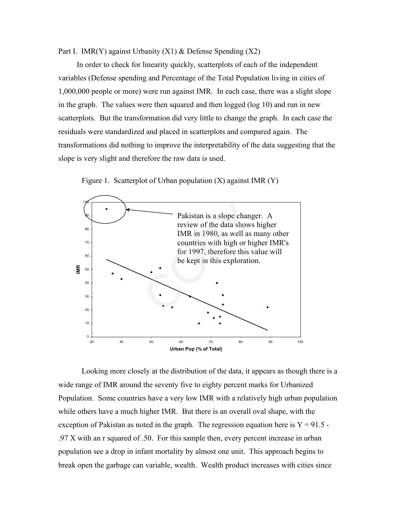Part I. IMR(Y) against Urbanity  $(X1)$  & Defense Spending  $(X2)$ 

In order to check for linearity quickly, scatterplots of each of the independent variables (Defense spending and Percentage of the Total Population living in cities of 1,000,000 people or more) were run against IMR. In each case, there was a slight slope in the graph. The values were then squared and then logged (log 10) and run in new scatterplots. But the transformation did very little to change the graph. In each case the residuals were standardized and placed in scatterplots and compared again. The transformations did nothing to improve the interpretability of the data suggesting that the slope is very slight and therefore the raw data is used.



Figure 1. Scatterplot of Urban population  $(X)$  against IMR  $(Y)$ 

Looking more closely at the distribution of the data, it appears as though there is a wide range of IMR around the seventy five to eighty percent marks for Urbanized Population. Some countries have a very low IMR with a relatively high urban population while others have a much higher IMR. But there is an overall oval shape, with the exception of Pakistan as noted in the graph. The regression equation here is  $Y = 91.5$ . .97 X with an r squared of .50. For this sample then, every percent increase in urban population see a drop in infant mortality by almost one unit. This approach begins to break open the garbage can variable, wealth. Wealth product increases with cities since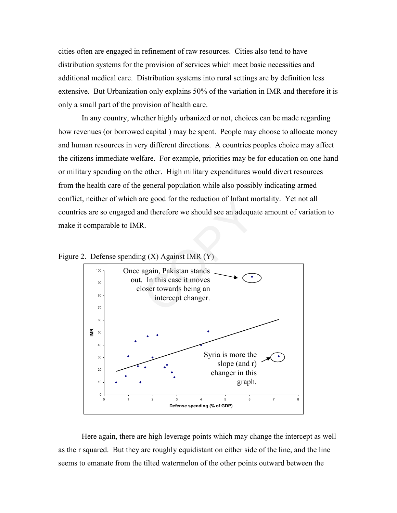cities often are engaged in refinement of raw resources. Cities also tend to have distribution systems for the provision of services which meet basic necessities and additional medical care. Distribution systems into rural settings are by definition less extensive. But Urbanization only explains 50% of the variation in IMR and therefore it is only a small part of the provision of health care.

In any country, whether highly urbanized or not, choices can be made regarding how revenues (or borrowed capital ) may be spent. People may choose to allocate money and human resources in very different directions. A countries peoples choice may affect the citizens immediate welfare. For example, priorities may be for education on one hand or military spending on the other. High military expenditures would divert resources from the health care of the general population while also possibly indicating armed conflict, neither of which are good for the reduction of Infant mortality. Yet not all countries are so engaged and therefore we should see an adequate amount of variation to make it comparable to IMR.



Figure 2. Defense spending (X) Against IMR (Y)

Here again, there are high leverage points which may change the intercept as well as the r squared. But they are roughly equidistant on either side of the line, and the line seems to emanate from the tilted watermelon of the other points outward between the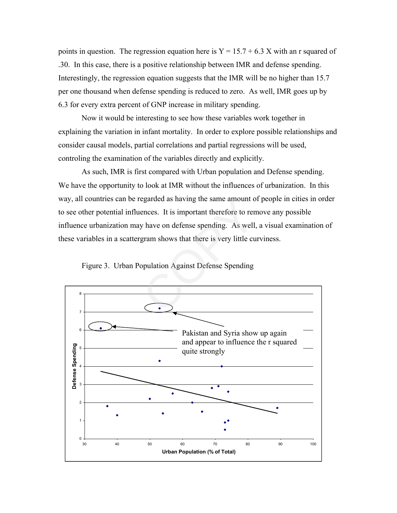points in question. The regression equation here is  $Y = 15.7 + 6.3$  X with an r squared of .30. In this case, there is a positive relationship between IMR and defense spending. Interestingly, the regression equation suggests that the IMR will be no higher than 15.7 per one thousand when defense spending is reduced to zero. As well, IMR goes up by 6.3 for every extra percent of GNP increase in military spending.

Now it would be interesting to see how these variables work together in explaining the variation in infant mortality. In order to explore possible relationships and consider causal models, partial correlations and partial regressions will be used, controling the examination of the variables directly and explicitly.

As such, IMR is first compared with Urban population and Defense spending. We have the opportunity to look at IMR without the influences of urbanization. In this way, all countries can be regarded as having the same amount of people in cities in order to see other potential influences. It is important therefore to remove any possible influence urbanization may have on defense spending. As well, a visual examination of these variables in a scattergram shows that there is very little curviness. egarded as naving the same amount of<br>ences. It is important therefore to ren<br>y have on defense spending. As well,<br>gram shows that there is very little cu<br>opulation Against Defense Spending



Figure 3. Urban Population Against Defense Spending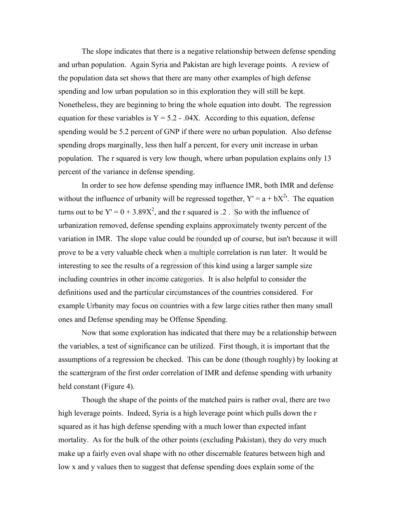The slope indicates that there is a negative relationship between defense spending and urban population. Again Syria and Pakistan are high leverage points. A review of the population data set shows that there are many other examples of high defense spending and low urban population so in this exploration they will still be kept. Nonetheless, they are beginning to bring the whole equation into doubt. The regression equation for these variables is  $Y = 5.2 - 0.04X$ . According to this equation, defense spending would be 5.2 percent of GNP if there were no urban population. Also defense spending drops marginally, less then half a percent, for every unit increase in urban population. The r squared is very low though, where urban population explains only 13 percent of the variance in defense spending.

In order to see how defense spending may influence IMR, both IMR and defense without the influence of urbanity will be regressed together,  $Y' = a + bX^2$ . The equation turns out to be  $Y' = 0 + 3.89X^2$ , and the r squared is .2. So with the influence of urbanization removed, defense spending explains approximately twenty percent of the variation in IMR. The slope value could be rounded up of course, but isn't because it will prove to be a very valuable check when a multiple correlation is run later. It would be interesting to see the results of a regression of this kind using a larger sample size including countries in other income categories. It is also helpful to consider the definitions used and the particular circumstances of the countries considered. For example Urbanity may focus on countries with a few large cities rather then many small ones and Defense spending may be Offense Spending. From ty will be regressed together,  $\chi^2$ <br>89 $X^2$ , and the r squared is .2. So with<br>ense spending explains approximately<br>pe value could be rounded up of course<br>encek when a multiple correlation is<br>ts of a regression of t

Now that some exploration has indicated that there may be a relationship between the variables, a test of significance can be utilized. First though, it is important that the assumptions of a regression be checked. This can be done (though roughly) by looking at the scattergram of the first order correlation of IMR and defense spending with urbanity held constant (Figure 4).

Though the shape of the points of the matched pairs is rather oval, there are two high leverage points. Indeed, Syria is a high leverage point which pulls down the r squared as it has high defense spending with a much lower than expected infant mortality. As for the bulk of the other points (excluding Pakistan), they do very much make up a fairly even oval shape with no other discernable features between high and low x and y values then to suggest that defense spending does explain some of the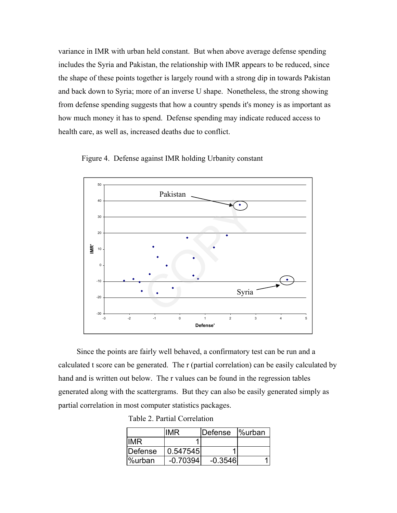variance in IMR with urban held constant. But when above average defense spending includes the Syria and Pakistan, the relationship with IMR appears to be reduced, since the shape of these points together is largely round with a strong dip in towards Pakistan and back down to Syria; more of an inverse U shape. Nonetheless, the strong showing from defense spending suggests that how a country spends it's money is as important as how much money it has to spend. Defense spending may indicate reduced access to health care, as well as, increased deaths due to conflict.





Since the points are fairly well behaved, a confirmatory test can be run and a calculated t score can be generated. The r (partial correlation) can be easily calculated by hand and is written out below. The r values can be found in the regression tables generated along with the scattergrams. But they can also be easily generated simply as partial correlation in most computer statistics packages.

|  |  | Table 2. Partial Correlation |
|--|--|------------------------------|
|--|--|------------------------------|

|         | <b>IMR</b> | <b>IDefense</b> | <b></b> <sup>%</sup> urban |
|---------|------------|-----------------|----------------------------|
| IIMR.   |            |                 |                            |
| Defense | 0.547545   |                 |                            |
| l%urban | $-0.70394$ | $-0.3546$       |                            |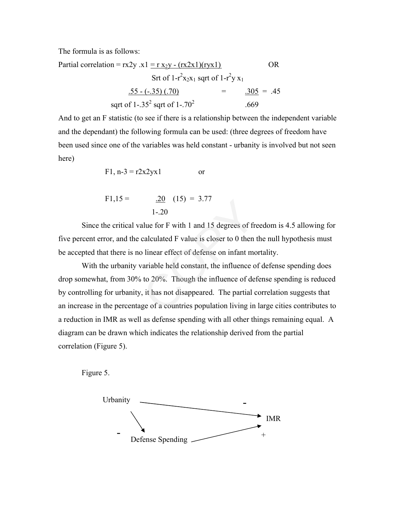The formula is as follows:

Partial correlation = 
$$
rx2y .x1 = r x_2y - (rx2x1)(ryx1)
$$
 OR  
\n
$$
Str of 1-r2x_2x_1 \text{ sqrt of } 1-r2y x_1
$$
\n
$$
\underline{.55 - (-.35) (.70)} = \underline{.305} = .45
$$
\n
$$
\text{sqrt of } 1-.35^2 \text{ sqrt of } 1-.70^2
$$
\n
$$
.669
$$

And to get an F statistic (to see if there is a relationship between the independent variable and the dependant) the following formula can be used: (three degrees of freedom have been used since one of the variables was held constant - urbanity is involved but not seen here)

$$
F1, n-3 = r2x2yx1
$$
 or

$$
F1,15 = \underline{.20} \quad (15) = 3.77
$$
  

$$
1-.20
$$

Since the critical value for F with 1 and 15 degrees of freedom is 4.5 allowing for five percent error, and the calculated F value is closer to 0 then the null hypothesis must be accepted that there is no linear effect of defense on infant mortality.

With the urbanity variable held constant, the influence of defense spending does drop somewhat, from 30% to 20%. Though the influence of defense spending is reduced by controlling for urbanity, it has not disappeared. The partial correlation suggests that an increase in the percentage of a countries population living in large cities contributes to a reduction in IMR as well as defense spending with all other things remaining equal. A diagram can be drawn which indicates the relationship derived from the partial correlation (Figure 5).  $\angle 20$  (15) = 3.//<br>1-.20<br>alue for F with 1 and 15 degrees of free calculated F value is closer to 0 then<br>5 linear effect of defense on infant mo<br>variable held constant, the influence of defense on to 20%. Though the infl

Figure 5.

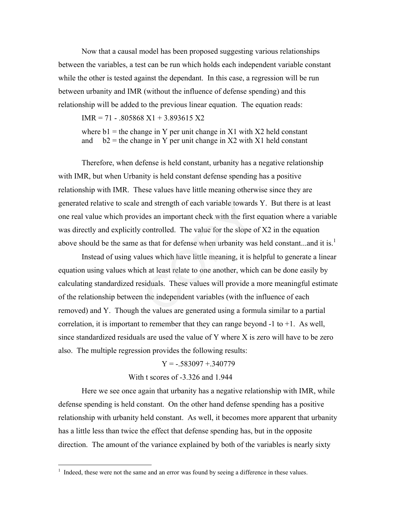Now that a causal model has been proposed suggesting various relationships between the variables, a test can be run which holds each independent variable constant while the other is tested against the dependant. In this case, a regression will be run between urbanity and IMR (without the influence of defense spending) and this relationship will be added to the previous linear equation. The equation reads:

 $IMR = 71 - .805868 X1 + 3.893615 X2$ 

where  $b1$  = the change in Y per unit change in X1 with X2 held constant and  $b2$  = the change in Y per unit change in X2 with X1 held constant

Therefore, when defense is held constant, urbanity has a negative relationship with IMR, but when Urbanity is held constant defense spending has a positive relationship with IMR. These values have little meaning otherwise since they are generated relative to scale and strength of each variable towards Y. But there is at least one real value which provides an important check with the first equation where a variable was directly and explicitly controlled. The value for the slope of X2 in the equation above should be the same as that for defense when urbanity was held constant...and it is.<sup>1</sup>

Instead of using values which have little meaning, it is helpful to generate a linear equation using values which at least relate to one another, which can be done easily by calculating standardized residuals. These values will provide a more meaningful estimate of the relationship between the independent variables (with the influence of each removed) and Y. Though the values are generated using a formula similar to a partial correlation, it is important to remember that they can range beyond  $-1$  to  $+1$ . As well, since standardized residuals are used the value of Y where X is zero will have to be zero also. The multiple regression provides the following results: and strength of each variable towards<br>ides an important check with the first<br>controlled. The value for the slope o<br>as that for defense when urbanity was<br>lues which have little meaning, it is h<br>ch at least relate to one ano

#### $Y = -.583097 + .340779$

### With t scores of -3.326 and 1.944

Here we see once again that urbanity has a negative relationship with IMR, while defense spending is held constant. On the other hand defense spending has a positive relationship with urbanity held constant. As well, it becomes more apparent that urbanity has a little less than twice the effect that defense spending has, but in the opposite direction. The amount of the variance explained by both of the variables is nearly sixty

 $\overline{a}$ 

<sup>&</sup>lt;sup>1</sup> Indeed, these were not the same and an error was found by seeing a difference in these values.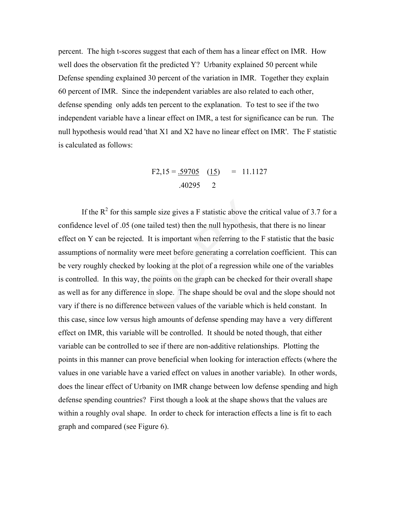percent. The high t-scores suggest that each of them has a linear effect on IMR. How well does the observation fit the predicted Y? Urbanity explained 50 percent while Defense spending explained 30 percent of the variation in IMR. Together they explain 60 percent of IMR. Since the independent variables are also related to each other, defense spending only adds ten percent to the explanation. To test to see if the two independent variable have a linear effect on IMR, a test for significance can be run. The null hypothesis would read 'that X1 and X2 have no linear effect on IMR'. The F statistic is calculated as follows:

$$
F2,15 = \underline{.59705} \quad (\underline{15}) = 11.1127
$$
  
.40295 2

If the  $\mathbb{R}^2$  for this sample size gives a F statistic above the critical value of 3.7 for a confidence level of .05 (one tailed test) then the null hypothesis, that there is no linear effect on Y can be rejected. It is important when referring to the F statistic that the basic assumptions of normality were meet before generating a correlation coefficient. This can be very roughly checked by looking at the plot of a regression while one of the variables is controlled. In this way, the points on the graph can be checked for their overall shape as well as for any difference in slope. The shape should be oval and the slope should not vary if there is no difference between values of the variable which is held constant. In this case, since low versus high amounts of defense spending may have a very different effect on IMR, this variable will be controlled. It should be noted though, that either variable can be controlled to see if there are non-additive relationships. Plotting the points in this manner can prove beneficial when looking for interaction effects (where the values in one variable have a varied effect on values in another variable). In other words, does the linear effect of Urbanity on IMR change between low defense spending and high defense spending countries? First though a look at the shape shows that the values are within a roughly oval shape. In order to check for interaction effects a line is fit to each graph and compared (see Figure 6). mple size gives a F statistic above the<br>he tailed test) then the null hypothesis.<br>I. It is important when referring to the<br>were meet before generating a correla<br>y looking at the plot of a regression w<br>the points on the gra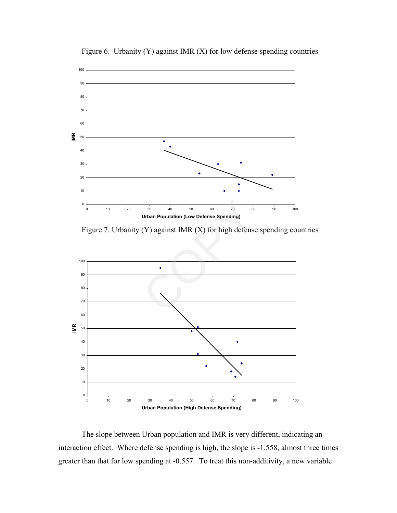

Figure 6. Urbanity (Y) against IMR (X) for low defense spending countries

Figure 7. Urbanity (Y) against IMR (X) for high defense spending countries



The slope between Urban population and IMR is very different, indicating an interaction effect. Where defense spending is high, the slope is -1.558, almost three times greater than that for low spending at -0.557. To treat this non-additivity, a new variable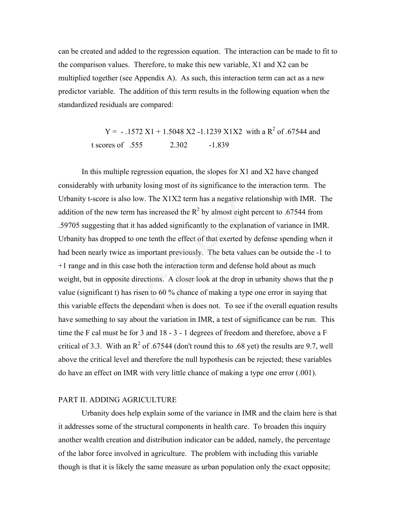can be created and added to the regression equation. The interaction can be made to fit to the comparison values. Therefore, to make this new variable, X1 and X2 can be multiplied together (see Appendix A). As such, this interaction term can act as a new predictor variable. The addition of this term results in the following equation when the standardized residuals are compared:

> $Y = -.1572 X1 + 1.5048 X2 -1.1239 X1X2$  with a R<sup>2</sup> of .67544 and t scores of .555 2.302 -1.839

In this multiple regression equation, the slopes for X1 and X2 have changed considerably with urbanity losing most of its significance to the interaction term. The Urbanity t-score is also low. The  $X1X2$  term has a negative relationship with IMR. The addition of the new term has increased the  $R^2$  by almost eight percent to .67544 from .59705 suggesting that it has added significantly to the explanation of variance in IMR. Urbanity has dropped to one tenth the effect of that exerted by defense spending when it had been nearly twice as important previously. The beta values can be outside the -1 to +1 range and in this case both the interaction term and defense hold about as much weight, but in opposite directions. A closer look at the drop in urbanity shows that the p value (significant t) has risen to 60 % chance of making a type one error in saying that this variable effects the dependant when is does not. To see if the overall equation results have something to say about the variation in IMR, a test of significance can be run. This time the F cal must be for 3 and 18 - 3 - 1 degrees of freedom and therefore, above a F critical of 3.3. With an  $R^2$  of .67544 (don't round this to .68 yet) the results are 9.7, well above the critical level and therefore the null hypothesis can be rejected; these variables do have an effect on IMR with very little chance of making a type one error (.001). w. The  $X1X2$  term has a negative related as increased the  $R^2$  by almost eight postal as added significantly to the explanat me tenth the effect of that exerted by demportant previously. The beta values both the interac

### PART II. ADDING AGRICULTURE

Urbanity does help explain some of the variance in IMR and the claim here is that it addresses some of the structural components in health care. To broaden this inquiry another wealth creation and distribution indicator can be added, namely, the percentage of the labor force involved in agriculture. The problem with including this variable though is that it is likely the same measure as urban population only the exact opposite;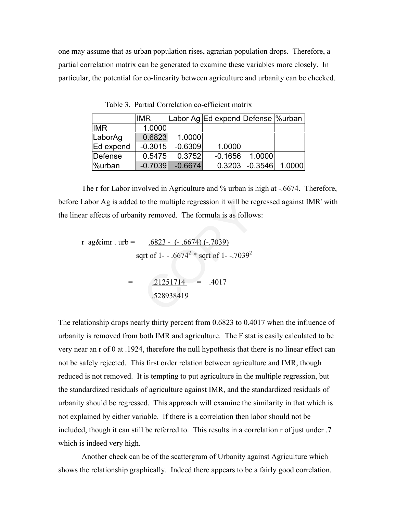one may assume that as urban population rises, agrarian population drops. Therefore, a partial correlation matrix can be generated to examine these variables more closely. In particular, the potential for co-linearity between agriculture and urbanity can be checked.

|            | <b>IMR</b> |           | Labor Ag Ed expend Defense Murban |        |                  |
|------------|------------|-----------|-----------------------------------|--------|------------------|
| <b>IMR</b> | 1.0000     |           |                                   |        |                  |
| LaborAg    | 0.6823     | 1.0000    |                                   |        |                  |
| Ed expend  | $-0.3015$  | $-0.6309$ | 1.0000                            |        |                  |
| Defense    | 0.5475     | 0.3752    | $-0.1656$                         | 1.0000 |                  |
| %urban     | $-0.7039$  | $-0.6674$ | 0.3203                            |        | $-0.3546$ 1.0000 |

Table 3. Partial Correlation co-efficient matrix

The r for Labor involved in Agriculture and % urban is high at -.6674. Therefore, before Labor Ag is added to the multiple regression it will be regressed against IMR' with the linear effects of urbanity removed. The formula is as follows:

r ag&imr . urb =  $.6823 - (-.6674) (-.7039)$ sqrt of 1- - .6674<sup>2</sup>  $*$  sqrt of 1- -.7039<sup>2</sup>  $=$  .21251714  $=$  .4017 .528938419 to the multiple regression it will be re<br>ty removed. The formula is as follow<br> $\frac{.6823 - (-.6674) (-.7039)}{.911}$ <br>qrt of 1--.6674<sup>2</sup> \* sqrt of 1--.7039<sup>2</sup><br> $\frac{.21251714}{.528938419}$  = .4017

The relationship drops nearly thirty percent from 0.6823 to 0.4017 when the influence of urbanity is removed from both IMR and agriculture. The F stat is easily calculated to be very near an r of 0 at .1924, therefore the null hypothesis that there is no linear effect can not be safely rejected. This first order relation between agriculture and IMR, though reduced is not removed. It is tempting to put agriculture in the multiple regression, but the standardized residuals of agriculture against IMR, and the standardized residuals of urbanity should be regressed. This approach will examine the similarity in that which is not explained by either variable. If there is a correlation then labor should not be included, though it can still be referred to. This results in a correlation r of just under .7 which is indeed very high.

Another check can be of the scattergram of Urbanity against Agriculture which shows the relationship graphically. Indeed there appears to be a fairly good correlation.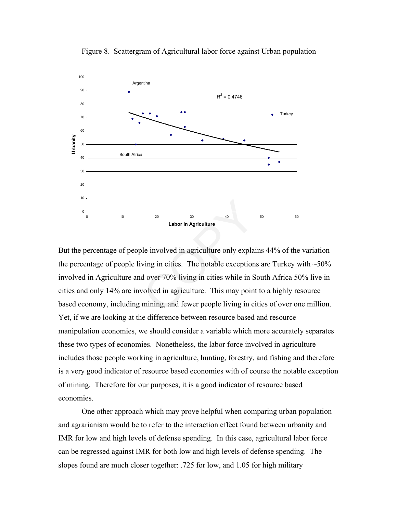

Figure 8. Scattergram of Agricultural labor force against Urban population

But the percentage of people involved in agriculture only explains 44% of the variation the percentage of people living in cities. The notable exceptions are Turkey with  $\sim$ 50% involved in Agriculture and over 70% living in cities while in South Africa 50% live in cities and only 14% are involved in agriculture. This may point to a highly resource based economy, including mining, and fewer people living in cities of over one million. Yet, if we are looking at the difference between resource based and resource manipulation economies, we should consider a variable which more accurately separates these two types of economies. Nonetheless, the labor force involved in agriculture includes those people working in agriculture, hunting, forestry, and fishing and therefore is a very good indicator of resource based economies with of course the notable exception of mining. Therefore for our purposes, it is a good indicator of resource based economies. Labor in Agriculture<br>
le involved in agriculture<br>
ble involved in agriculture only explainting<br>
d over 70% living in cities while in S<br>
volved in agriculture. This may point<br>
mining, and fewer people living in ci

One other approach which may prove helpful when comparing urban population and agrarianism would be to refer to the interaction effect found between urbanity and IMR for low and high levels of defense spending. In this case, agricultural labor force can be regressed against IMR for both low and high levels of defense spending. The slopes found are much closer together: .725 for low, and 1.05 for high military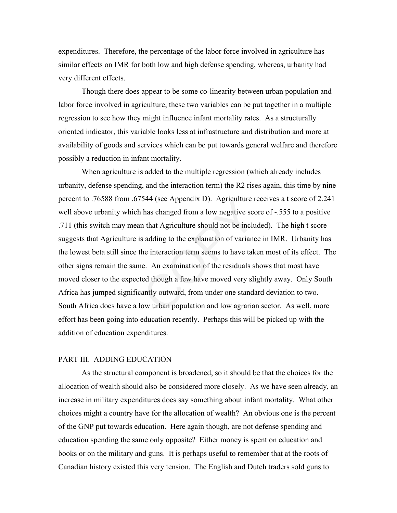expenditures. Therefore, the percentage of the labor force involved in agriculture has similar effects on IMR for both low and high defense spending, whereas, urbanity had very different effects.

Though there does appear to be some co-linearity between urban population and labor force involved in agriculture, these two variables can be put together in a multiple regression to see how they might influence infant mortality rates. As a structurally oriented indicator, this variable looks less at infrastructure and distribution and more at availability of goods and services which can be put towards general welfare and therefore possibly a reduction in infant mortality.

When agriculture is added to the multiple regression (which already includes urbanity, defense spending, and the interaction term) the R2 rises again, this time by nine percent to .76588 from .67544 (see Appendix D). Agriculture receives a t score of 2.241 well above urbanity which has changed from a low negative score of -.555 to a positive .711 (this switch may mean that Agriculture should not be included). The high t score suggests that Agriculture is adding to the explanation of variance in IMR. Urbanity has the lowest beta still since the interaction term seems to have taken most of its effect. The other signs remain the same. An examination of the residuals shows that most have moved closer to the expected though a few have moved very slightly away. Only South Africa has jumped significantly outward, from under one standard deviation to two. South Africa does have a low urban population and low agrarian sector. As well, more effort has been going into education recently. Perhaps this will be picked up with the addition of education expenditures. S44 (see Appendix D). Agriculture r<br>has changed from a low negative scc<br>n that Agriculture should not be inclu<br>s adding to the explanation of varianc<br>he interaction term seems to have tak<br>ne. An examination of the residual

### PART III. ADDING EDUCATION

As the structural component is broadened, so it should be that the choices for the allocation of wealth should also be considered more closely. As we have seen already, an increase in military expenditures does say something about infant mortality. What other choices might a country have for the allocation of wealth? An obvious one is the percent of the GNP put towards education. Here again though, are not defense spending and education spending the same only opposite? Either money is spent on education and books or on the military and guns. It is perhaps useful to remember that at the roots of Canadian history existed this very tension. The English and Dutch traders sold guns to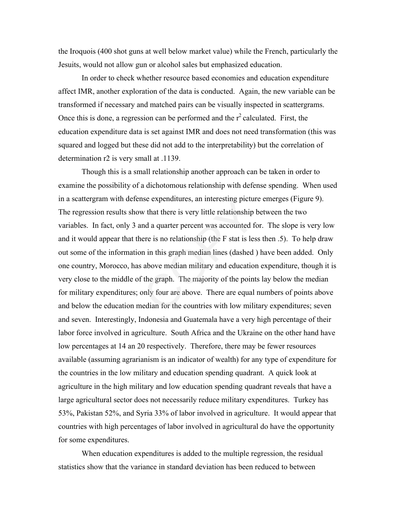the Iroquois (400 shot guns at well below market value) while the French, particularly the Jesuits, would not allow gun or alcohol sales but emphasized education.

In order to check whether resource based economies and education expenditure affect IMR, another exploration of the data is conducted. Again, the new variable can be transformed if necessary and matched pairs can be visually inspected in scattergrams. Once this is done, a regression can be performed and the  $r^2$  calculated. First, the education expenditure data is set against IMR and does not need transformation (this was squared and logged but these did not add to the interpretability) but the correlation of determination r2 is very small at .1139.

Though this is a small relationship another approach can be taken in order to examine the possibility of a dichotomous relationship with defense spending. When used in a scattergram with defense expenditures, an interesting picture emerges (Figure 9). The regression results show that there is very little relationship between the two variables. In fact, only 3 and a quarter percent was accounted for. The slope is very low and it would appear that there is no relationship (the F stat is less then .5). To help draw out some of the information in this graph median lines (dashed ) have been added. Only one country, Morocco, has above median military and education expenditure, though it is very close to the middle of the graph. The majority of the points lay below the median for military expenditures; only four are above. There are equal numbers of points above and below the education median for the countries with low military expenditures; seven and seven. Interestingly, Indonesia and Guatemala have a very high percentage of their labor force involved in agriculture. South Africa and the Ukraine on the other hand have low percentages at 14 an 20 respectively. Therefore, there may be fewer resources available (assuming agrarianism is an indicator of wealth) for any type of expenditure for the countries in the low military and education spending quadrant. A quick look at agriculture in the high military and low education spending quadrant reveals that have a large agricultural sector does not necessarily reduce military expenditures. Turkey has 53%, Pakistan 52%, and Syria 33% of labor involved in agriculture. It would appear that countries with high percentages of labor involved in agricultural do have the opportunity for some expenditures. more expenditures, an interesting picture<br>w that there is very little relationship l<br>and a quarter percent was accounted for<br>there is no relationship (the F stat is les<br>on in this graph median lines (dashed)<br>is above media

When education expenditures is added to the multiple regression, the residual statistics show that the variance in standard deviation has been reduced to between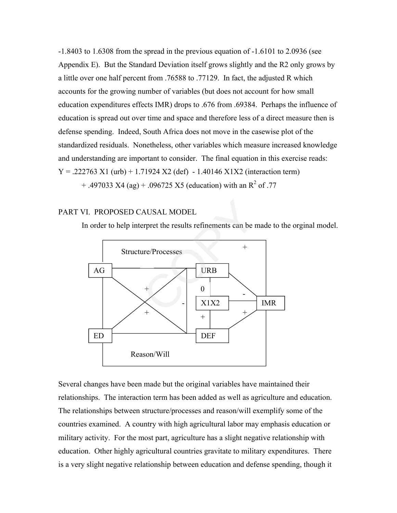-1.8403 to 1.6308 from the spread in the previous equation of -1.6101 to 2.0936 (see Appendix E). But the Standard Deviation itself grows slightly and the R2 only grows by a little over one half percent from .76588 to .77129. In fact, the adjusted R which accounts for the growing number of variables (but does not account for how small education expenditures effects IMR) drops to .676 from .69384. Perhaps the influence of education is spread out over time and space and therefore less of a direct measure then is defense spending. Indeed, South Africa does not move in the casewise plot of the standardized residuals. Nonetheless, other variables which measure increased knowledge and understanding are important to consider. The final equation in this exercise reads:  $Y = 0.222763 \text{ X}1 \text{ (urb)} + 1.71924 \text{ X}2 \text{ (def)} - 1.40146 \text{ X}1X2 \text{ (interaction term)}$  $+$  .497033 X4 (ag)  $+$  .096725 X5 (education) with an R<sup>2</sup> of .77

## PART VI. PROPOSED CAUSAL MODEL

In order to help interpret the results refinements can be made to the orginal model.



Several changes have been made but the original variables have maintained their relationships. The interaction term has been added as well as agriculture and education. The relationships between structure/processes and reason/will exemplify some of the countries examined. A country with high agricultural labor may emphasis education or military activity. For the most part, agriculture has a slight negative relationship with education. Other highly agricultural countries gravitate to military expenditures. There is a very slight negative relationship between education and defense spending, though it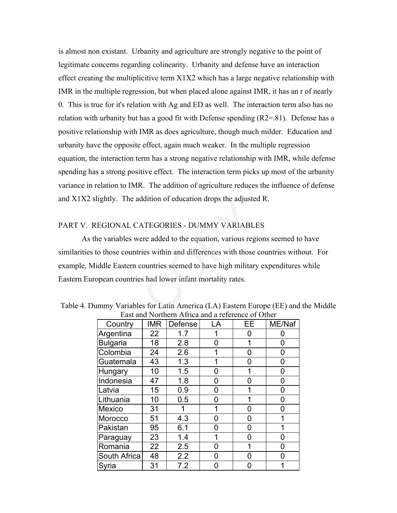is almost non existant. Urbanity and agriculture are strongly negative to the point of legitimate concerns regarding colinearity. Urbanity and defense have an interaction effect creating the multiplicitive term X1X2 which has a large negative relationship with IMR in the multiple regression, but when placed alone against IMR, it has an r of nearly 0. This is true for it's relation with Ag and ED as well. The interaction term also has no relation with urbanity but has a good fit with Defense spending  $(R2=81)$ . Defense has a positive relationship with IMR as does agriculture, though much milder. Education and urbanity have the opposite effect, again much weaker. In the multiple regression equation, the interaction term has a strong negative relationship with IMR, while defense spending has a strong positive effect. The interaction term picks up most of the urbanity variance in relation to IMR. The addition of agriculture reduces the influence of defense and X1X2 slightly. The addition of education drops the adjusted R.

# PART V. REGIONAL CATEGORIES - DUMMY VARIABLES

As the variables were added to the equation, various regions seemed to have similarities to those countries within and differences with those countries without. For example, Middle Eastern countries seemed to have high military expenditures while Eastern European countries had lower infant mortality rates. MATEGORIES - DUMMY VARIABLI<br>
ATEGORIES - DUMMY VARIABLI<br>
ere added to the equation, various reg<br>
ries within and differences with those<br>
countries seemed to have high military<br>
s had lower infant mortality rates.<br>
es for L

| Country         | <b>IMR</b> | Defense | LA | EE. | ME/Naf |  |
|-----------------|------------|---------|----|-----|--------|--|
| Argentina       | 22         | 1.7     |    | 0   | 0      |  |
| <b>Bulgaria</b> | 18         | 2.8     | 0  | 1   | 0      |  |
| Colombia        | 24         | 2.6     | 1  | 0   | 0      |  |
| Guatemala       | 43         | 1.3     |    | 0   | 0      |  |
| Hungary         | 10         | 1.5     | 0  | 1   | 0      |  |
| Indonesia       | 47         | 1.8     | ი  | 0   | 0      |  |
| Latvia          | 15         | 0.9     | 0  | 1   | 0      |  |
| Lithuania       | 10         | 0.5     | 0  |     | 0      |  |
| <b>Mexico</b>   | 31         |         | 1  | 0   | 0      |  |
| Morocco         | 51         | 4.3     | n  | 0   |        |  |
| Pakistan        | 95         | 6.1     | ი  | 0   |        |  |
| Paraguay        | 23         | 1.4     |    | 0   | 0      |  |
| Romania         | 22         | 2.5     | 0  | 1   | 0      |  |
| South Africa    | 48         | 2.2     | n  | ი   | ი      |  |
| Syria           | 31         | 7.2     | ი  | 0   |        |  |

Table 4. Dummy Variables for Latin America (LA) Eastern Europe (EE) and the Middle East and Northern Africa and a reference of Other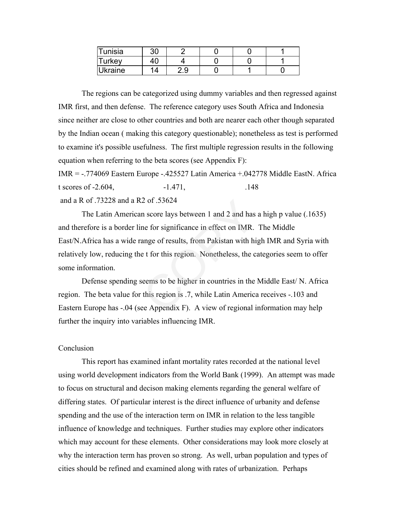| Tunisia | 30 |     |  |  |
|---------|----|-----|--|--|
| Turkey  |    |     |  |  |
| Ukraine | 1⊿ | 2.9 |  |  |

The regions can be categorized using dummy variables and then regressed against IMR first, and then defense. The reference category uses South Africa and Indonesia since neither are close to other countries and both are nearer each other though separated by the Indian ocean ( making this category questionable); nonetheless as test is performed to examine it's possible usefulness. The first multiple regression results in the following equation when referring to the beta scores (see Appendix F):

IMR = -.774069 Eastern Europe -.425527 Latin America +.042778 Middle EastN. Africa t scores of  $-2.604$ ,  $-1.471$ ,  $.148$ and a R of .73228 and a R2 of .53624

The Latin American score lays between 1 and 2 and has a high p value (.1635) and therefore is a border line for significance in effect on IMR. The Middle East/N.Africa has a wide range of results, from Pakistan with high IMR and Syria with relatively low, reducing the t for this region. Nonetheless, the categories seem to offer some information. 2 of .53624<br>
n score lays between 1 and 2 and has<br>
ne for significance in effect on IMR.<br>
ange of results, from Pakistan with hi<br>
e t for this region. Nonetheless, the c<br>
seems to be higher in countries in the<br>
this region

Defense spending seems to be higher in countries in the Middle East/ N. Africa region. The beta value for this region is .7, while Latin America receives -.103 and Eastern Europe has -.04 (see Appendix F). A view of regional information may help further the inquiry into variables influencing IMR.

#### Conclusion

This report has examined infant mortality rates recorded at the national level using world development indicators from the World Bank (1999). An attempt was made to focus on structural and decison making elements regarding the general welfare of differing states. Of particular interest is the direct influence of urbanity and defense spending and the use of the interaction term on IMR in relation to the less tangible influence of knowledge and techniques. Further studies may explore other indicators which may account for these elements. Other considerations may look more closely at why the interaction term has proven so strong. As well, urban population and types of cities should be refined and examined along with rates of urbanization. Perhaps